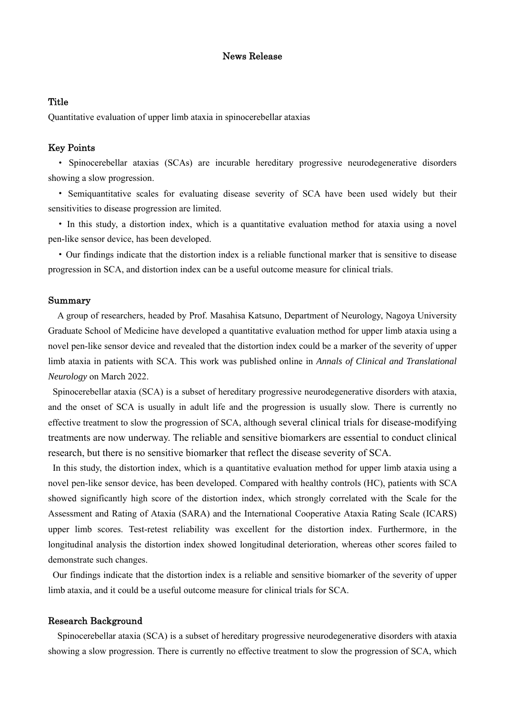## News Release

## **Title**

Quantitative evaluation of upper limb ataxia in spinocerebellar ataxias

### Key Points

• Spinocerebellar ataxias (SCAs) are incurable hereditary progressive neurodegenerative disorders showing a slow progression.

• Semiquantitative scales for evaluating disease severity of SCA have been used widely but their sensitivities to disease progression are limited.

• In this study, a distortion index, which is a quantitative evaluation method for ataxia using a novel pen-like sensor device, has been developed.

• Our findings indicate that the distortion index is a reliable functional marker that is sensitive to disease progression in SCA, and distortion index can be a useful outcome measure for clinical trials.

## Summary

A group of researchers, headed by Prof. Masahisa Katsuno, Department of Neurology, Nagoya University Graduate School of Medicine have developed a quantitative evaluation method for upper limb ataxia using a novel pen-like sensor device and revealed that the distortion index could be a marker of the severity of upper limb ataxia in patients with SCA. This work was published online in *Annals of Clinical and Translational Neurology* on March 2022.

 Spinocerebellar ataxia (SCA) is a subset of hereditary progressive neurodegenerative disorders with ataxia, and the onset of SCA is usually in adult life and the progression is usually slow. There is currently no effective treatment to slow the progression of SCA, although several clinical trials for disease-modifying treatments are now underway. The reliable and sensitive biomarkers are essential to conduct clinical research, but there is no sensitive biomarker that reflect the disease severity of SCA.

 In this study, the distortion index, which is a quantitative evaluation method for upper limb ataxia using a novel pen-like sensor device, has been developed. Compared with healthy controls (HC), patients with SCA showed significantly high score of the distortion index, which strongly correlated with the Scale for the Assessment and Rating of Ataxia (SARA) and the International Cooperative Ataxia Rating Scale (ICARS) upper limb scores. Test-retest reliability was excellent for the distortion index. Furthermore, in the longitudinal analysis the distortion index showed longitudinal deterioration, whereas other scores failed to demonstrate such changes.

 Our findings indicate that the distortion index is a reliable and sensitive biomarker of the severity of upper limb ataxia, and it could be a useful outcome measure for clinical trials for SCA.

#### Research Background

Spinocerebellar ataxia (SCA) is a subset of hereditary progressive neurodegenerative disorders with ataxia showing a slow progression. There is currently no effective treatment to slow the progression of SCA, which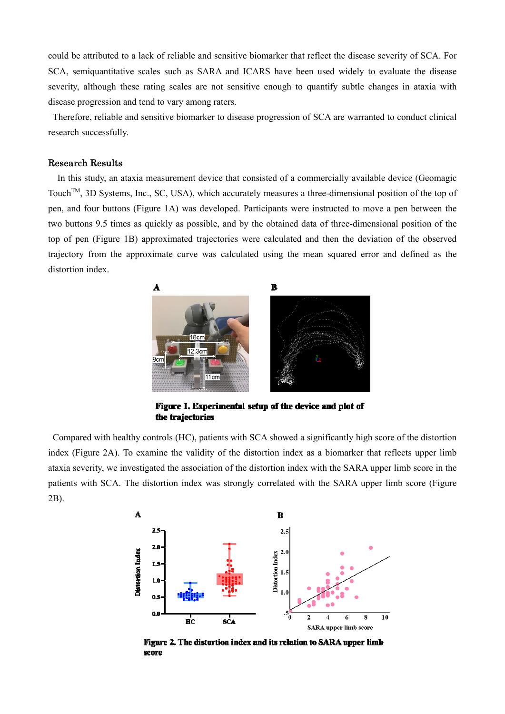could be attributed to a lack of reliable and sensitive biomarker that reflect the disease severity of SCA. For SCA, semiquantitative scales such as SARA and ICARS have been used widely to evaluate the disease severity, although these rating scales are not sensitive enough to quantify subtle changes in ataxia with disease progression and tend to vary among raters.

 Therefore, reliable and sensitive biomarker to disease progression of SCA are warranted to conduct clinical research successfully.

## Research Results

In this study, an ataxia measurement device that consisted of a commercially available device (Geomagic Touch<sup>™</sup>, 3D Systems, Inc., SC, USA), which accurately measures a three-dimensional position of the top of pen, and four buttons (Figure 1A) was developed. Participants were instructed to move a pen between the two buttons 9.5 times as quickly as possible, and by the obtained data of three-dimensional position of the top of pen (Figure 1B) approximated trajectories were calculated and then the deviation of the observed trajectory from the approximate curve was calculated using the mean squared error and defined as the distortion index.



Figure 1. Experimental setup of the device and plot of the trajectories

Compared with healthy controls (HC), patients with SCA showed a significantly high score of the distortion index (Figure 2A). To examine the validity of the distortion index as a biomarker that reflects upper limb ataxia severity, we investigated the association of the distortion index with the SARA upper limb score in the patients with SCA. The distortion index was strongly correlated with the SARA upper limb score (Figure 2B).



Figure 2. The distortion index and its relation to SARA upper limb score